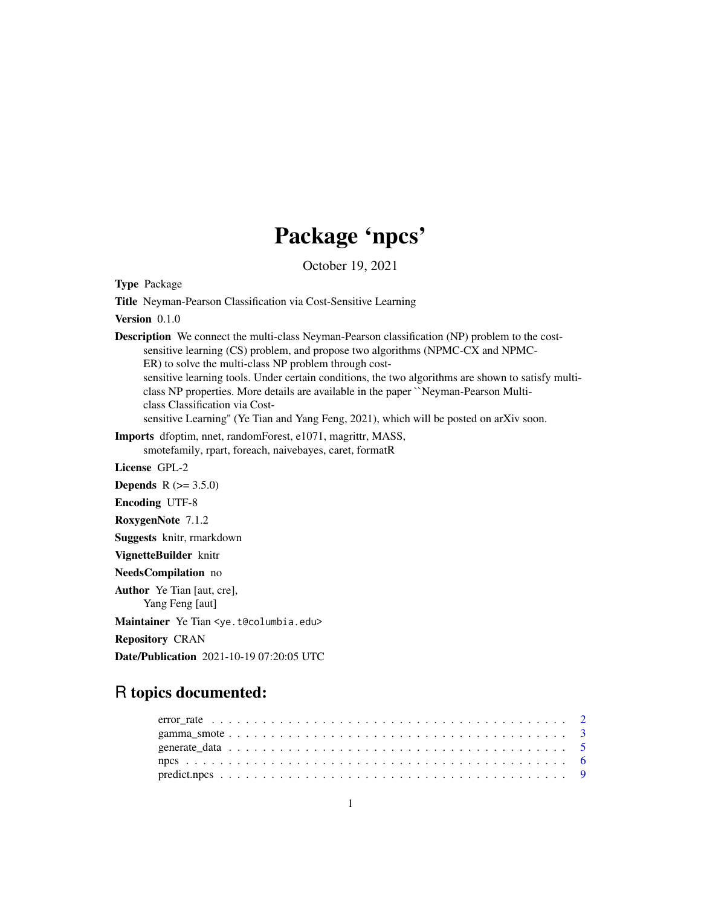## Package 'npcs'

October 19, 2021

<span id="page-0-0"></span>Type Package

Title Neyman-Pearson Classification via Cost-Sensitive Learning

Version 0.1.0

Description We connect the multi-class Neyman-Pearson classification (NP) problem to the costsensitive learning (CS) problem, and propose two algorithms (NPMC-CX and NPMC-ER) to solve the multi-class NP problem through costsensitive learning tools. Under certain conditions, the two algorithms are shown to satisfy multi-

class NP properties. More details are available in the paper ``Neyman-Pearson Multiclass Classification via Cost-

sensitive Learning" (Ye Tian and Yang Feng, 2021), which will be posted on arXiv soon.

Imports dfoptim, nnet, randomForest, e1071, magrittr, MASS, smotefamily, rpart, foreach, naivebayes, caret, formatR

License GPL-2

**Depends** R  $(>= 3.5.0)$ 

Encoding UTF-8

RoxygenNote 7.1.2

Suggests knitr, rmarkdown

VignetteBuilder knitr

NeedsCompilation no

Author Ye Tian [aut, cre], Yang Feng [aut]

Maintainer Ye Tian <ye.t@columbia.edu>

Repository CRAN

Date/Publication 2021-10-19 07:20:05 UTC

### R topics documented: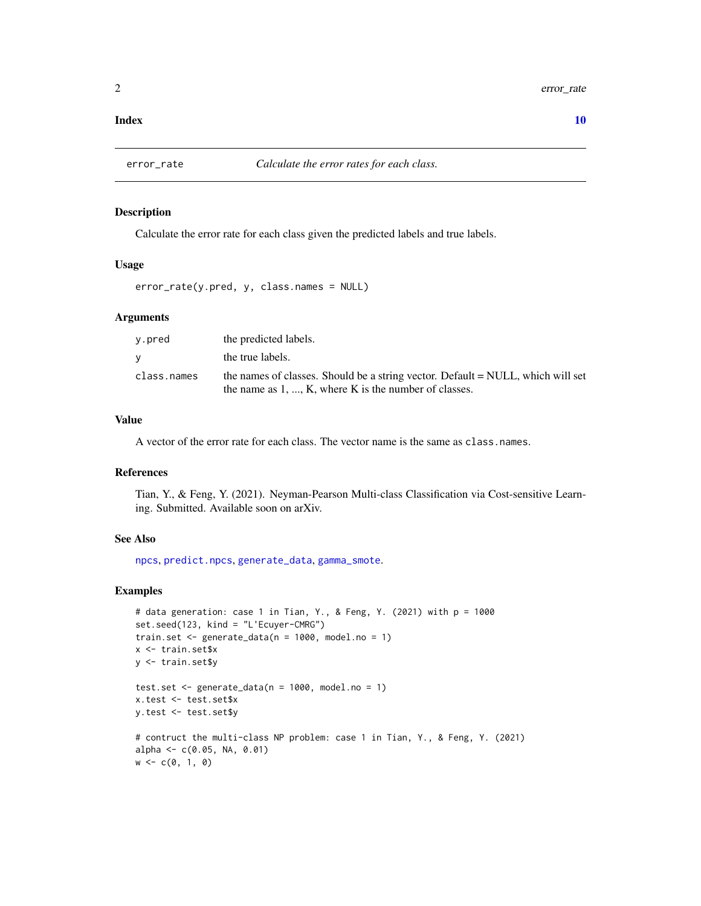#### <span id="page-1-0"></span> $\blacksquare$

<span id="page-1-1"></span>

#### Description

Calculate the error rate for each class given the predicted labels and true labels.

#### Usage

error\_rate(y.pred, y, class.names = NULL)

#### Arguments

| y.pred      | the predicted labels.                                                                                                                       |
|-------------|---------------------------------------------------------------------------------------------------------------------------------------------|
| V           | the true labels.                                                                                                                            |
| class.names | the names of classes. Should be a string vector. Default = NULL, which will set<br>the name as $1, , K$ , where K is the number of classes. |

#### Value

A vector of the error rate for each class. The vector name is the same as class.names.

#### References

Tian, Y., & Feng, Y. (2021). Neyman-Pearson Multi-class Classification via Cost-sensitive Learning. Submitted. Available soon on arXiv.

#### See Also

[npcs](#page-5-1), [predict.npcs](#page-8-1), [generate\\_data](#page-4-1), [gamma\\_smote](#page-2-1).

#### Examples

```
# data generation: case 1 in Tian, Y., & Feng, Y. (2021) with p = 1000
set.seed(123, kind = "L'Ecuyer-CMRG")
train.set \leq generate_data(n = 1000, model.no = 1)
x <- train.set$x
y <- train.set$y
test.set \leq generate_data(n = 1000, model.no = 1)
x.test <- test.set$x
y.test <- test.set$y
# contruct the multi-class NP problem: case 1 in Tian, Y., & Feng, Y. (2021)
alpha <- c(0.05, NA, 0.01)
w \leq c(0, 1, 0)
```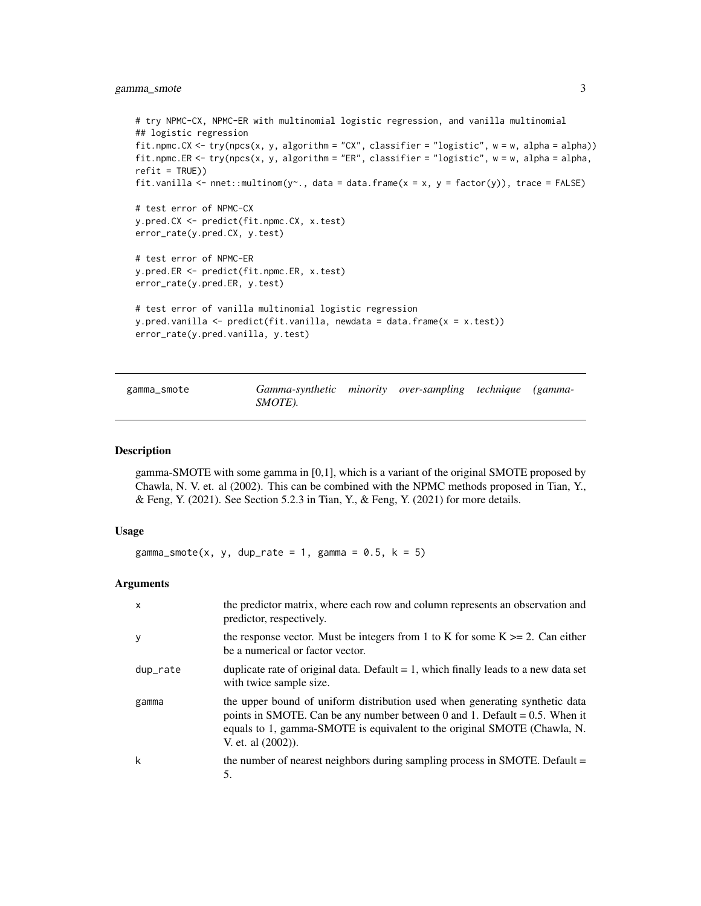#### <span id="page-2-0"></span>gamma\_smote 3

```
# try NPMC-CX, NPMC-ER with multinomial logistic regression, and vanilla multinomial
## logistic regression
fit.npmc.CX <- try(npcs(x, y, algorithm = "CX", classifier = "logistic", w = w, alpha = alpha))
fit.npmc.ER <- try(npcs(x, y, algorithm = "ER", classifier = "logistic", w = w, alpha = alpha,
refit = TRUE))
fit.vanilla \leq nnet::multinom(y\leq, data = data.frame(x = x, y = factor(y)), trace = FALSE)
# test error of NPMC-CX
y.pred.CX <- predict(fit.npmc.CX, x.test)
error_rate(y.pred.CX, y.test)
# test error of NPMC-ER
y.pred.ER <- predict(fit.npmc.ER, x.test)
error_rate(y.pred.ER, y.test)
# test error of vanilla multinomial logistic regression
y.pred.vanilla <- predict(fit.vanilla, newdata = data.frame(x = x.test))
error_rate(y.pred.vanilla, y.test)
```
#### <span id="page-2-1"></span>gamma\_smote *Gamma-synthetic minority over-sampling technique (gamma-SMOTE).*

#### Description

gamma-SMOTE with some gamma in [0,1], which is a variant of the original SMOTE proposed by Chawla, N. V. et. al (2002). This can be combined with the NPMC methods proposed in Tian, Y., & Feng, Y. (2021). See Section 5.2.3 in Tian, Y., & Feng, Y. (2021) for more details.

#### Usage

gamma\_smote(x, y, dup\_rate = 1, gamma =  $0.5$ , k = 5)

#### Arguments

| X        | the predictor matrix, where each row and column represents an observation and<br>predictor, respectively.                                                                                                                                                      |
|----------|----------------------------------------------------------------------------------------------------------------------------------------------------------------------------------------------------------------------------------------------------------------|
| у        | the response vector. Must be integers from 1 to K for some $K \ge 2$ . Can either<br>be a numerical or factor vector.                                                                                                                                          |
| dup_rate | duplicate rate of original data. Default $= 1$ , which finally leads to a new data set<br>with twice sample size.                                                                                                                                              |
| gamma    | the upper bound of uniform distribution used when generating synthetic data<br>points in SMOTE. Can be any number between 0 and 1. Default = $0.5$ . When it<br>equals to 1, gamma-SMOTE is equivalent to the original SMOTE (Chawla, N.<br>V. et. al (2002)). |
| k        | the number of nearest neighbors during sampling process in SMOTE. Default $=$<br>5.                                                                                                                                                                            |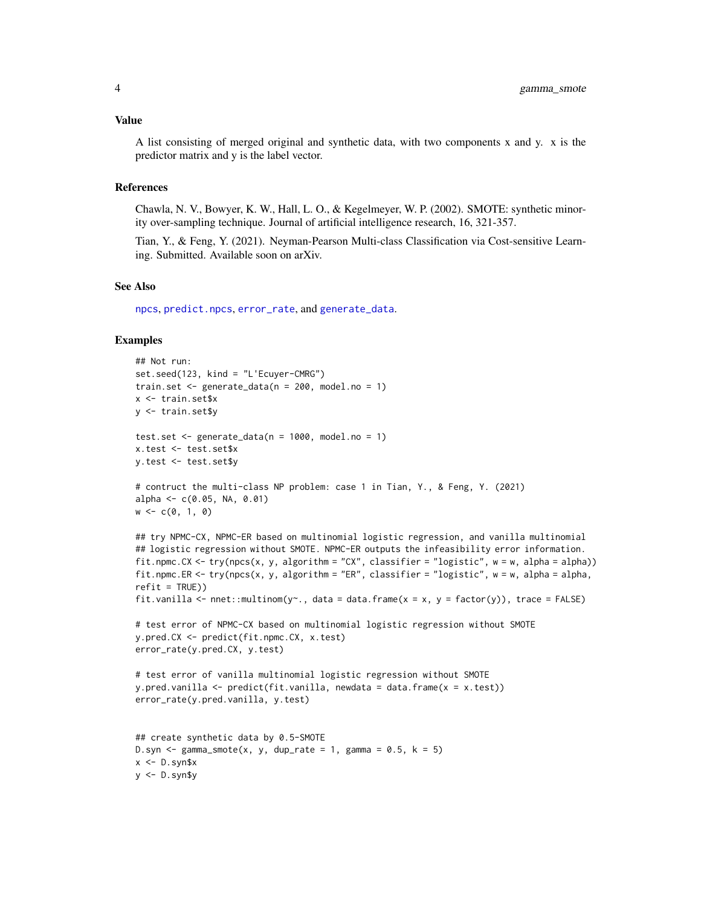#### <span id="page-3-0"></span>Value

A list consisting of merged original and synthetic data, with two components x and y. x is the predictor matrix and y is the label vector.

#### References

Chawla, N. V., Bowyer, K. W., Hall, L. O., & Kegelmeyer, W. P. (2002). SMOTE: synthetic minority over-sampling technique. Journal of artificial intelligence research, 16, 321-357.

Tian, Y., & Feng, Y. (2021). Neyman-Pearson Multi-class Classification via Cost-sensitive Learning. Submitted. Available soon on arXiv.

#### See Also

[npcs](#page-5-1), [predict.npcs](#page-8-1), [error\\_rate](#page-1-1), and [generate\\_data](#page-4-1).

#### Examples

```
## Not run:
set.seed(123, kind = "L'Ecuyer-CMRG")
train.set \leq generate_data(n = 200, model.no = 1)
x <- train.set$x
y <- train.set$y
test.set \leq generate_data(n = 1000, model.no = 1)
x.test <- test.set$x
y.test <- test.set$y
# contruct the multi-class NP problem: case 1 in Tian, Y., & Feng, Y. (2021)
alpha <- c(0.05, NA, 0.01)w \leq c(0, 1, 0)## try NPMC-CX, NPMC-ER based on multinomial logistic regression, and vanilla multinomial
## logistic regression without SMOTE. NPMC-ER outputs the infeasibility error information.
fit.npmc.CX <- try(npcs(x, y, algorithm = "CX", classifier = "logistic", w = w, alpha = alpha))
fit.npmc.ER <- try(npcs(x, y, algorithm = "ER", classifier = "logistic", w = w, alpha = alpha,
refit = TRUE))
fit.vanilla <- nnet::multinom(y~., data = data.frame(x = x, y = factor(y)), trace = FALSE)
# test error of NPMC-CX based on multinomial logistic regression without SMOTE
y.pred.CX <- predict(fit.npmc.CX, x.test)
error_rate(y.pred.CX, y.test)
# test error of vanilla multinomial logistic regression without SMOTE
y.pred.vanilla <- predict(fit.vanilla, newdata = data.frame(x = x.test))
error_rate(y.pred.vanilla, y.test)
## create synthetic data by 0.5-SMOTE
D.syn \leq gamma_smote(x, y, dup_rate = 1, gamma = 0.5, k = 5)
x < -D.syn$x
y <- D.syn$y
```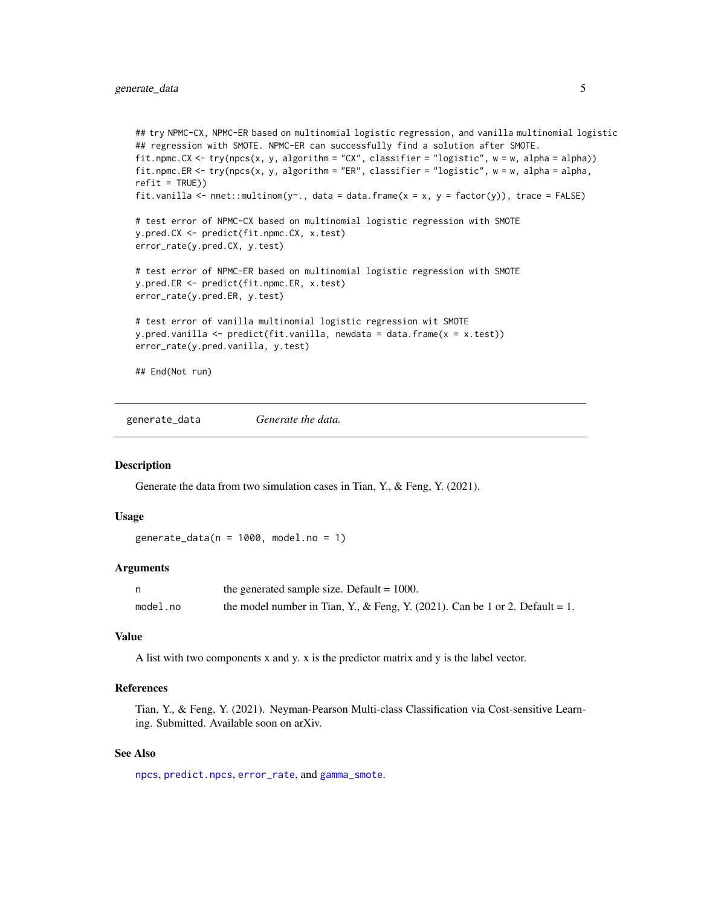```
## try NPMC-CX, NPMC-ER based on multinomial logistic regression, and vanilla multinomial logistic
## regression with SMOTE. NPMC-ER can successfully find a solution after SMOTE.
fit.npmc.CX <- try(npcs(x, y, algorithm = "CX", classifier = "logistic", w = w, alpha = alpha))
fit.npmc.ER <- try(npcs(x, y, algorithm = "ER", classifier = "logistic", w = w, alpha = alpha,
refit = TRUE))
fit.vanilla <- nnet::multinom(y~., data = data.frame(x = x, y = factor(y)), trace = FALSE)
# test error of NPMC-CX based on multinomial logistic regression with SMOTE
y.pred.CX <- predict(fit.npmc.CX, x.test)
error_rate(y.pred.CX, y.test)
# test error of NPMC-ER based on multinomial logistic regression with SMOTE
y.pred.ER <- predict(fit.npmc.ER, x.test)
error_rate(y.pred.ER, y.test)
# test error of vanilla multinomial logistic regression wit SMOTE
y.pred.vanilla <- predict(fit.vanilla, newdata = data.frame(x = x.test))
error_rate(y.pred.vanilla, y.test)
```
## End(Not run)

<span id="page-4-1"></span>generate\_data *Generate the data.*

#### Description

Generate the data from two simulation cases in Tian, Y., & Feng, Y. (2021).

#### Usage

generate\_data( $n = 1000$ , model.no = 1)

#### **Arguments**

|          | the generated sample size. Default $= 1000$ .                                |
|----------|------------------------------------------------------------------------------|
| model.no | the model number in Tian, Y., & Feng, Y. (2021). Can be 1 or 2. Default = 1. |

#### Value

A list with two components x and y. x is the predictor matrix and y is the label vector.

#### References

Tian, Y., & Feng, Y. (2021). Neyman-Pearson Multi-class Classification via Cost-sensitive Learning. Submitted. Available soon on arXiv.

#### See Also

[npcs](#page-5-1), [predict.npcs](#page-8-1), [error\\_rate](#page-1-1), and [gamma\\_smote](#page-2-1).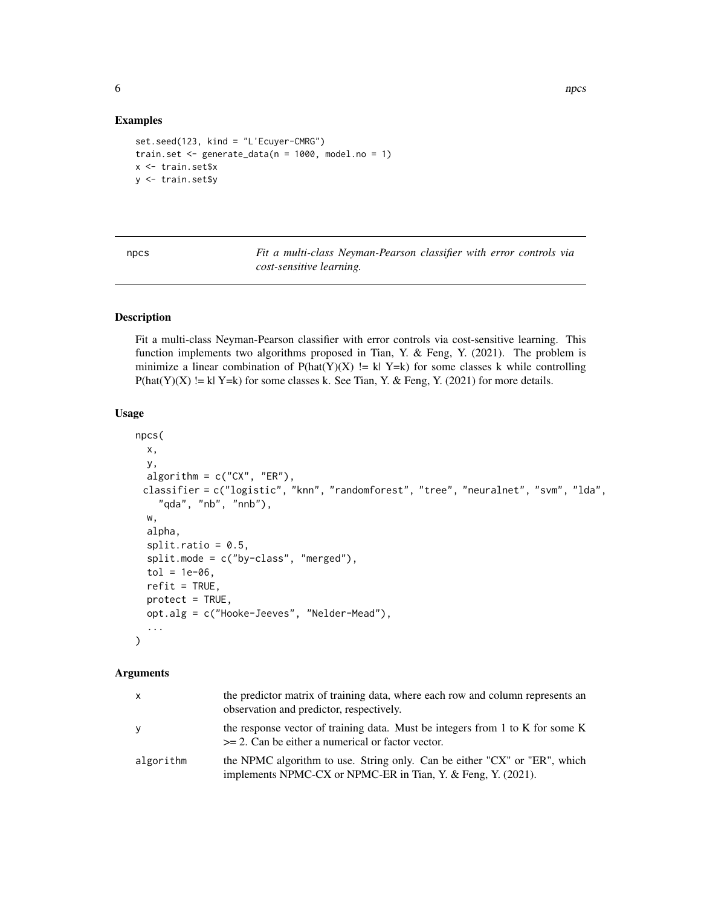#### Examples

```
set.seed(123, kind = "L'Ecuyer-CMRG")
train.set <- generate_data(n = 1000, model.no = 1)
x <- train.set$x
y <- train.set$y
```
<span id="page-5-1"></span>npcs *Fit a multi-class Neyman-Pearson classifier with error controls via cost-sensitive learning.*

#### Description

Fit a multi-class Neyman-Pearson classifier with error controls via cost-sensitive learning. This function implements two algorithms proposed in Tian, Y. & Feng, Y. (2021). The problem is minimize a linear combination of  $P(hat(Y)(X) := k | Y=k)$  for some classes k while controlling  $P(hat(Y)(X) := k|Y=k)$  for some classes k. See Tian, Y. & Feng, Y. (2021) for more details.

#### Usage

```
npcs(
  x,
  y,
  algorithm = c("CX", "ER"),classifier = c("logistic", "knn", "randomforest", "tree", "neuralnet", "svm", "lda",
    "qda", "nb", "nnb"),
  w,
  alpha,
  split.ratio = 0.5,split.mode = c("by-class", "merged"),
  tol = 1e-06,refit = TRUE,protect = TRUE,
  opt.alg = c("Hooke-Jeeves", "Nelder-Mead"),
  ...
\mathcal{L}
```
#### Arguments

| X.        | the predictor matrix of training data, where each row and column represents an<br>observation and predictor, respectively.                |
|-----------|-------------------------------------------------------------------------------------------------------------------------------------------|
| ٧         | the response vector of training data. Must be integers from 1 to K for some K<br>$>= 2$ . Can be either a numerical or factor vector.     |
| algorithm | the NPMC algorithm to use. String only. Can be either "CX" or "ER", which<br>implements NPMC-CX or NPMC-ER in Tian, Y. & Feng, Y. (2021). |

<span id="page-5-0"></span>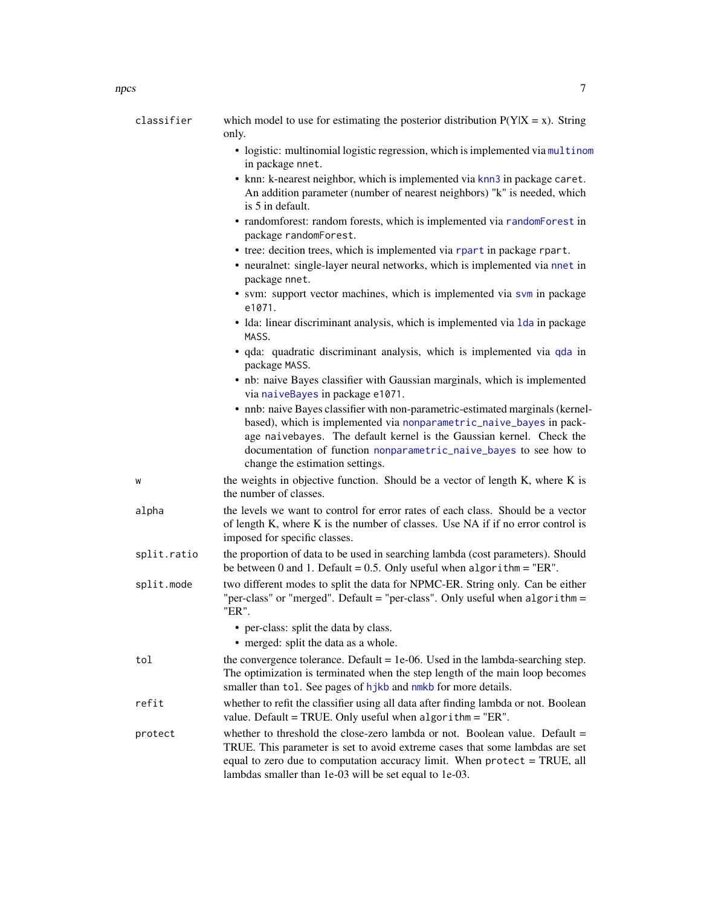<span id="page-6-0"></span>

| classifier  | which model to use for estimating the posterior distribution $P(Y X = x)$ . String<br>only.                                                                                                                                                                                                                                           |
|-------------|---------------------------------------------------------------------------------------------------------------------------------------------------------------------------------------------------------------------------------------------------------------------------------------------------------------------------------------|
|             | • logistic: multinomial logistic regression, which is implemented via multinom<br>in package nnet.                                                                                                                                                                                                                                    |
|             | • knn: k-nearest neighbor, which is implemented via knn3 in package caret.<br>An addition parameter (number of nearest neighbors) "k" is needed, which<br>is 5 in default.                                                                                                                                                            |
|             | • randomforest: random forests, which is implemented via randomForest in<br>package randomForest.                                                                                                                                                                                                                                     |
|             | • tree: decition trees, which is implemented via rpart in package rpart.                                                                                                                                                                                                                                                              |
|             | • neuralnet: single-layer neural networks, which is implemented via nnet in<br>package nnet.                                                                                                                                                                                                                                          |
|             | • svm: support vector machines, which is implemented via svm in package<br>e1071.                                                                                                                                                                                                                                                     |
|             | • Ida: linear discriminant analysis, which is implemented via 1da in package<br>MASS.                                                                                                                                                                                                                                                 |
|             | · qda: quadratic discriminant analysis, which is implemented via qda in<br>package MASS.                                                                                                                                                                                                                                              |
|             | • nb: naive Bayes classifier with Gaussian marginals, which is implemented<br>via naiveBayes in package e1071.                                                                                                                                                                                                                        |
|             | • nnb: naive Bayes classifier with non-parametric-estimated marginals (kernel-<br>based), which is implemented via nonparametric_naive_bayes in pack-<br>age naivebayes. The default kernel is the Gaussian kernel. Check the<br>documentation of function nonparametric_naive_bayes to see how to<br>change the estimation settings. |
| W           | the weights in objective function. Should be a vector of length K, where K is<br>the number of classes.                                                                                                                                                                                                                               |
| alpha       | the levels we want to control for error rates of each class. Should be a vector<br>of length K, where K is the number of classes. Use NA if if no error control is<br>imposed for specific classes.                                                                                                                                   |
| split.ratio | the proportion of data to be used in searching lambda (cost parameters). Should<br>be between 0 and 1. Default = $0.5$ . Only useful when algorithm = "ER".                                                                                                                                                                           |
| split.mode  | two different modes to split the data for NPMC-ER. String only. Can be either<br>"per-class" or "merged". Default = "per-class". Only useful when algorithm =<br>"ER".                                                                                                                                                                |
|             | • per-class: split the data by class.                                                                                                                                                                                                                                                                                                 |
|             | • merged: split the data as a whole.                                                                                                                                                                                                                                                                                                  |
| tol         | the convergence tolerance. Default $= 1e-06$ . Used in the lambda-searching step.<br>The optimization is terminated when the step length of the main loop becomes<br>smaller than tol. See pages of hjkb and nmkb for more details.                                                                                                   |
| refit       | whether to refit the classifier using all data after finding lambda or not. Boolean<br>value. Default = TRUE. Only useful when algorithm = "ER".                                                                                                                                                                                      |
| protect     | whether to threshold the close-zero lambda or not. Boolean value. Default $=$<br>TRUE. This parameter is set to avoid extreme cases that some lambdas are set<br>equal to zero due to computation accuracy limit. When protect = TRUE, all<br>lambdas smaller than 1e-03 will be set equal to 1e-03.                                  |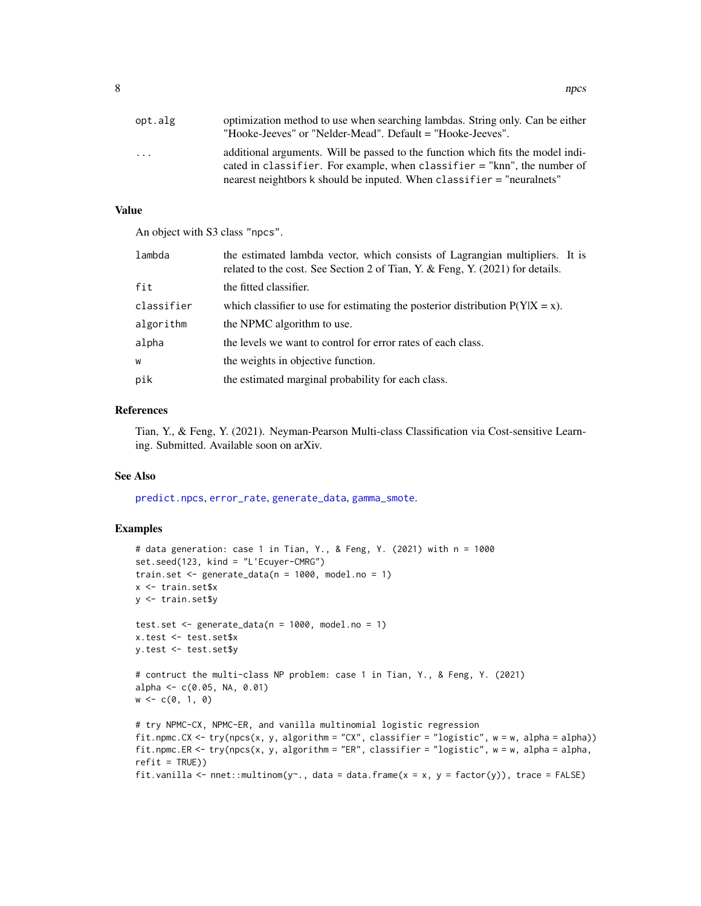<span id="page-7-0"></span>

| opt.alg | optimization method to use when searching lambdas. String only. Can be either<br>"Hooke-Jeeves" or "Nelder-Mead". Default = "Hooke-Jeeves".                                                                                           |
|---------|---------------------------------------------------------------------------------------------------------------------------------------------------------------------------------------------------------------------------------------|
| .       | additional arguments. Will be passed to the function which fits the model indi-<br>cated in classifier. For example, when classifier = "knn", the number of<br>nearest neightbors k should be inputed. When classifier = "neuralnets" |

#### Value

An object with S3 class "npcs".

| lambda     | the estimated lambda vector, which consists of Lagrangian multipliers. It is<br>related to the cost. See Section 2 of Tian, Y. & Feng, Y. (2021) for details. |
|------------|---------------------------------------------------------------------------------------------------------------------------------------------------------------|
| fit        | the fitted classifier.                                                                                                                                        |
| classifier | which classifier to use for estimating the posterior distribution $P(Y X = x)$ .                                                                              |
| algorithm  | the NPMC algorithm to use.                                                                                                                                    |
| alpha      | the levels we want to control for error rates of each class.                                                                                                  |
| W          | the weights in objective function.                                                                                                                            |
| pik        | the estimated marginal probability for each class.                                                                                                            |

#### References

Tian, Y., & Feng, Y. (2021). Neyman-Pearson Multi-class Classification via Cost-sensitive Learning. Submitted. Available soon on arXiv.

#### See Also

[predict.npcs](#page-8-1), [error\\_rate](#page-1-1), [generate\\_data](#page-4-1), [gamma\\_smote](#page-2-1).

#### Examples

```
# data generation: case 1 in Tian, Y., & Feng, Y. (2021) with n = 1000
set.seed(123, kind = "L'Ecuyer-CMRG")
train.set \leq generate_data(n = 1000, model.no = 1)
x <- train.set$x
y <- train.set$y
test.set \leq generate_data(n = 1000, model.no = 1)
x.test <- test.set$x
y.test <- test.set$y
# contruct the multi-class NP problem: case 1 in Tian, Y., & Feng, Y. (2021)
alpha <- c(0.05, NA, 0.01)
w \leq c(0, 1, 0)# try NPMC-CX, NPMC-ER, and vanilla multinomial logistic regression
fit.npmc.CX <- try(npcs(x, y, algorithm = "CX", classifier = "logistic", w = w, alpha = alpha))
fit.npmc.ER <- try(npcs(x, y, algorithm = "ER", classifier = "logistic", w = w, alpha = alpha,
refit = TRUE))
fit.vanilla <- nnet::multinom(y 
cotata = data.frame(x = x, y = factor(y)), trace = FALSE)
```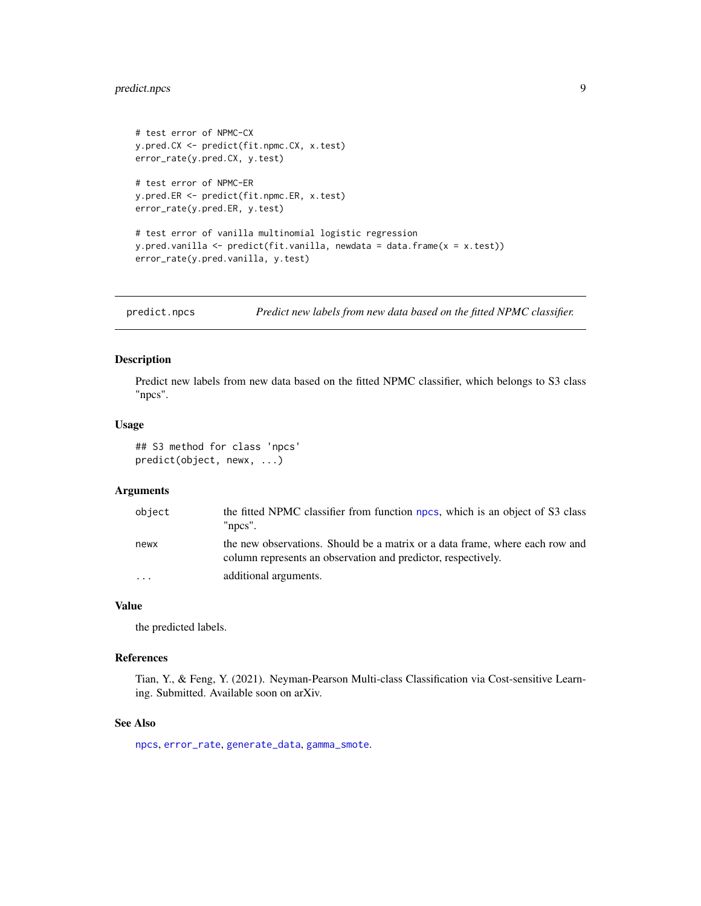#### <span id="page-8-0"></span>predict.npcs 9

```
# test error of NPMC-CX
y.pred.CX <- predict(fit.npmc.CX, x.test)
error_rate(y.pred.CX, y.test)
# test error of NPMC-ER
y.pred.ER <- predict(fit.npmc.ER, x.test)
error_rate(y.pred.ER, y.test)
# test error of vanilla multinomial logistic regression
y.pred.vanilla <- predict(fit.vanilla, newdata = data.frame(x = x.test))
error_rate(y.pred.vanilla, y.test)
```
<span id="page-8-1"></span>predict.npcs *Predict new labels from new data based on the fitted NPMC classifier.*

#### Description

Predict new labels from new data based on the fitted NPMC classifier, which belongs to S3 class "npcs".

#### Usage

```
## S3 method for class 'npcs'
predict(object, newx, ...)
```
#### Arguments

| object    | the fitted NPMC classifier from function npcs, which is an object of S3 class<br>" $npcs$ ".                                                  |
|-----------|-----------------------------------------------------------------------------------------------------------------------------------------------|
| newx      | the new observations. Should be a matrix or a data frame, where each row and<br>column represents an observation and predictor, respectively. |
| $\ddotsc$ | additional arguments.                                                                                                                         |

#### Value

the predicted labels.

#### References

Tian, Y., & Feng, Y. (2021). Neyman-Pearson Multi-class Classification via Cost-sensitive Learning. Submitted. Available soon on arXiv.

#### See Also

[npcs](#page-5-1), [error\\_rate](#page-1-1), [generate\\_data](#page-4-1), [gamma\\_smote](#page-2-1).